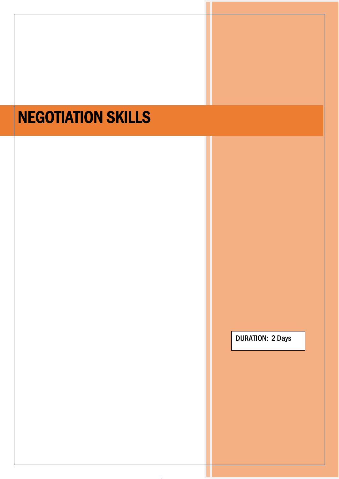# NEGOTIATION SKILLS

DURATION: 2 Days